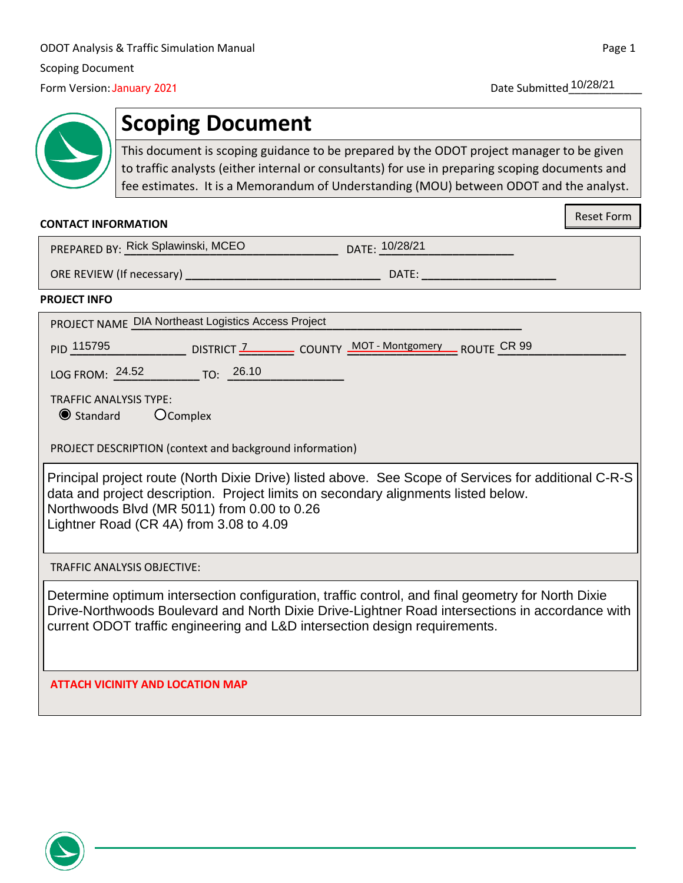Date Submitted 10/28/21

# **Scoping Document**

This document is scoping guidance to be prepared by the ODOT project manager to be given to traffic analysts (either internal or consultants) for use in preparing scoping documents and fee estimates. It is a Memorandum of Understanding (MOU) between ODOT and the analyst. January 2021<br> **Scoping Document**<br>
This document is scoping guidance to be prepared by the O<br>
to traffic analysts (either internal or consultants) for use in<br>
fee estimates. It is a Memorandum of Understanding (MOI<br>
DRMATI

#### **CONTACT INFORMATION**

Reset Form

| PREPARED BY: Rick Splawinski, MCEO | DATE: 10/28/21 |
|------------------------------------|----------------|
|                                    |                |

ORE REVIEW (If necessary) **\_\_\_\_\_\_\_\_\_\_\_\_\_\_\_\_\_\_\_\_\_\_\_\_\_\_\_\_\_\_\_\_** DATE: **\_\_\_\_\_\_\_\_\_\_\_\_\_\_\_\_\_\_\_\_\_\_**

#### **PROJECT INFO**

PROJECT NAME **\_\_\_\_\_\_\_\_\_\_\_\_\_\_\_\_\_\_\_\_\_\_\_\_\_\_\_\_\_\_\_\_\_\_\_\_\_\_\_\_\_\_\_\_\_\_\_\_\_\_\_\_\_\_\_\_\_\_\_\_\_\_\_\_** DIA Northeast Logistics Access Project

PID  $\frac{115795}{...}$  DISTRICT  $\frac{7}{...}$  COUNTY  $\frac{MOT - Montgomery}{...}$  ROUTE  $\frac{CR}{...}$ 

LOG FROM: **\_\_\_\_\_\_\_\_\_\_\_\_\_\_** TO: **\_\_\_\_\_\_\_\_\_\_\_\_\_\_\_\_\_\_\_** 24.52 26.10

TRAFFIC ANALYSIS TYPE:

O Standard Complex

PROJECT DESCRIPTION (context and background information)

| Principal project route (North Dixie Drive) listed above. See Scope of Services for additional C-R-S |
|------------------------------------------------------------------------------------------------------|
| data and project description. Project limits on secondary alignments listed below.                   |
| Northwoods Blvd (MR 5011) from 0.00 to 0.26                                                          |
| Lightner Road (CR 4A) from 3.08 to 4.09                                                              |

TRAFFIC ANALYSIS OBJECTIVE:

Determine optimum intersection configuration, traffic control, and final geometry for North Dixie Drive-Northwoods Boulevard and North Dixie Drive-Lightner Road intersections in accordance with current ODOT traffic engineering and L&D intersection design requirements.

**ATTACH VICINITY AND LOCATION MAP**

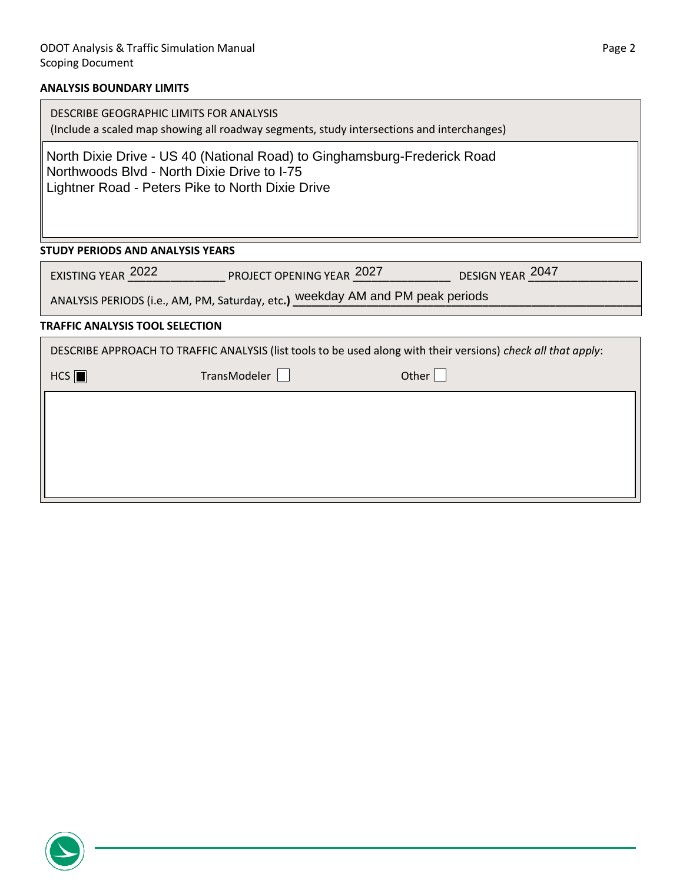# **ANALYSIS BOUNDARY LIMITS**

| DESCRIBE GEOGRAPHIC LIMITS FOR ANALYSIS<br>(Include a scaled map showing all roadway segments, study intersections and interchanges)                                        |  |  |
|-----------------------------------------------------------------------------------------------------------------------------------------------------------------------------|--|--|
| North Dixie Drive - US 40 (National Road) to Ginghamsburg-Frederick Road<br>Northwoods Blvd - North Dixie Drive to I-75<br>Lightner Road - Peters Pike to North Dixie Drive |  |  |
| <b>STUDY PERIODS AND ANALYSIS YEARS</b>                                                                                                                                     |  |  |
| DESIGN YEAR 2047<br>EXISTING YEAR 2022 PROJECT OPENING YEAR 2027                                                                                                            |  |  |
| ANALYSIS PERIODS (i.e., AM, PM, Saturday, etc.) weekday AM and PM peak periods                                                                                              |  |  |
| <b>TRAFFIC ANALYSIS TOOL SELECTION</b>                                                                                                                                      |  |  |
| DESCRIBE APPROACH TO TRAFFIC ANALYSIS (list tools to be used along with their versions) check all that apply:                                                               |  |  |
| HCS<br>TransModeler<br>Other $ $                                                                                                                                            |  |  |
|                                                                                                                                                                             |  |  |
|                                                                                                                                                                             |  |  |

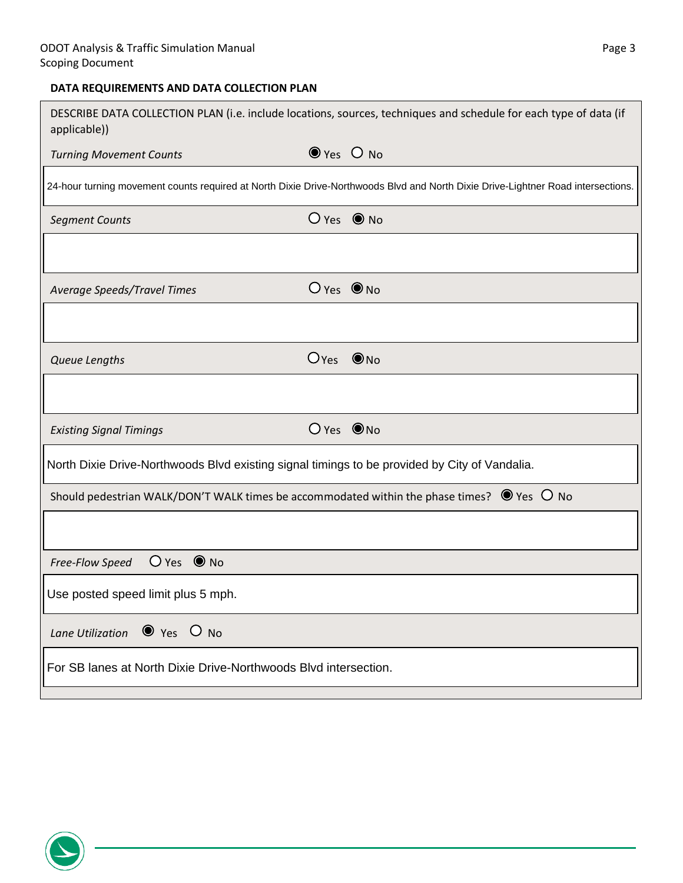# **DATA REQUIREMENTS AND DATA COLLECTION PLAN**

| applicable))                                                                                             |                          | DESCRIBE DATA COLLECTION PLAN (i.e. include locations, sources, techniques and schedule for each type of data (if                |
|----------------------------------------------------------------------------------------------------------|--------------------------|----------------------------------------------------------------------------------------------------------------------------------|
| <b>Turning Movement Counts</b>                                                                           | $\bullet$ Yes $\circ$ No |                                                                                                                                  |
|                                                                                                          |                          | 24-hour turning movement counts required at North Dixie Drive-Northwoods Blvd and North Dixie Drive-Lightner Road intersections. |
| <b>Segment Counts</b>                                                                                    | $O$ Yes $\odot$ No       |                                                                                                                                  |
|                                                                                                          |                          |                                                                                                                                  |
| Average Speeds/Travel Times                                                                              | $O$ Yes $\odot$ No       |                                                                                                                                  |
|                                                                                                          |                          |                                                                                                                                  |
| Queue Lengths                                                                                            | $O_{Yes}$ $\odot$ No     |                                                                                                                                  |
|                                                                                                          |                          |                                                                                                                                  |
| <b>Existing Signal Timings</b>                                                                           | $O$ Yes $\odot$ No       |                                                                                                                                  |
| North Dixie Drive-Northwoods Blvd existing signal timings to be provided by City of Vandalia.            |                          |                                                                                                                                  |
| Should pedestrian WALK/DON'T WALK times be accommodated within the phase times? $\bullet$ Yes $\circ$ No |                          |                                                                                                                                  |
|                                                                                                          |                          |                                                                                                                                  |
| $O$ Yes $\odot$ No<br>Free-Flow Speed                                                                    |                          |                                                                                                                                  |
| Use posted speed limit plus 5 mph.                                                                       |                          |                                                                                                                                  |
| $\bullet$ Yes $\circ$ No<br>Lane Utilization                                                             |                          |                                                                                                                                  |
| For SB lanes at North Dixie Drive-Northwoods Blyd intersection.                                          |                          |                                                                                                                                  |

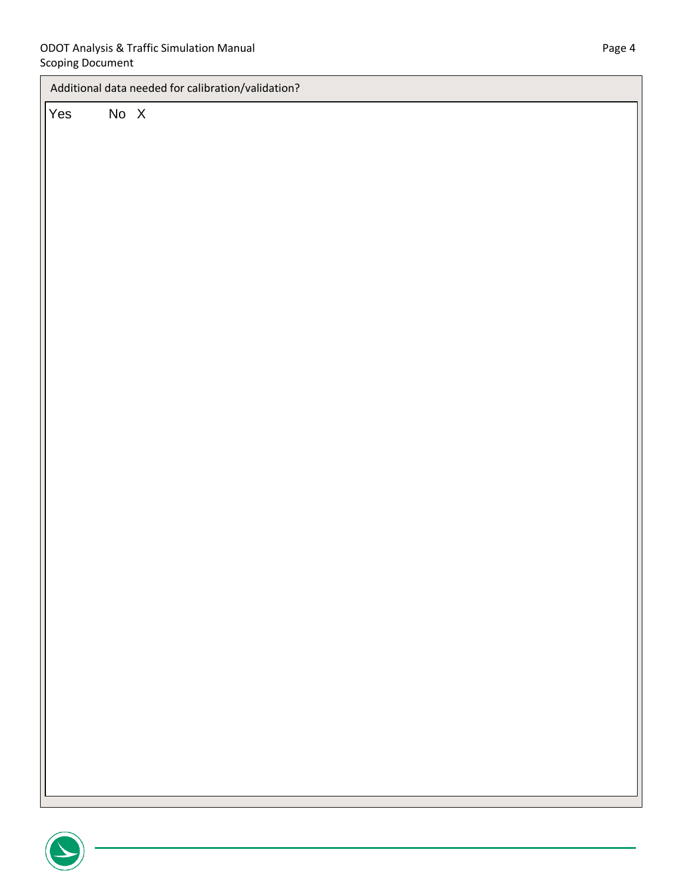| Additional data needed for calibration/validation? |      |  |
|----------------------------------------------------|------|--|
| Yes                                                | No X |  |
|                                                    |      |  |
|                                                    |      |  |
|                                                    |      |  |
|                                                    |      |  |
|                                                    |      |  |
|                                                    |      |  |
|                                                    |      |  |
|                                                    |      |  |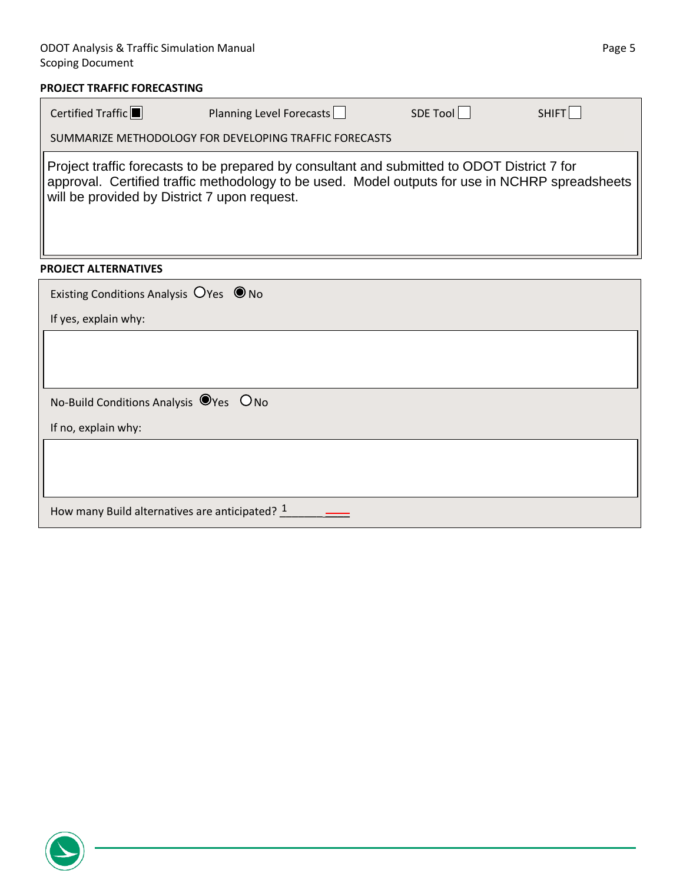## ODOT Analysis & Traffic Simulation Manual **Page 5** and Contract Contract Contract Contract Page 5 Scoping Document

### **PROJECT TRAFFIC FORECASTING**

| Certified Traffic                                 | Planning Level Forecasts                                                                                                                                                                       | SDE Tool | SHIFT |
|---------------------------------------------------|------------------------------------------------------------------------------------------------------------------------------------------------------------------------------------------------|----------|-------|
|                                                   | SUMMARIZE METHODOLOGY FOR DEVELOPING TRAFFIC FORECASTS                                                                                                                                         |          |       |
| will be provided by District 7 upon request.      | Project traffic forecasts to be prepared by consultant and submitted to ODOT District 7 for<br>approval. Certified traffic methodology to be used. Model outputs for use in NCHRP spreadsheets |          |       |
| <b>PROJECT ALTERNATIVES</b>                       |                                                                                                                                                                                                |          |       |
| Existing Conditions Analysis $O$ Yes $\bullet$ No |                                                                                                                                                                                                |          |       |
| If yes, explain why:                              |                                                                                                                                                                                                |          |       |
|                                                   |                                                                                                                                                                                                |          |       |
|                                                   |                                                                                                                                                                                                |          |       |
| No-Build Conditions Analysis OYes ONo             |                                                                                                                                                                                                |          |       |
| If no, explain why:                               |                                                                                                                                                                                                |          |       |
|                                                   |                                                                                                                                                                                                |          |       |

How many Build alternatives are anticipated? \_\_\_\_\_\_\_ \_\_\_\_ 1